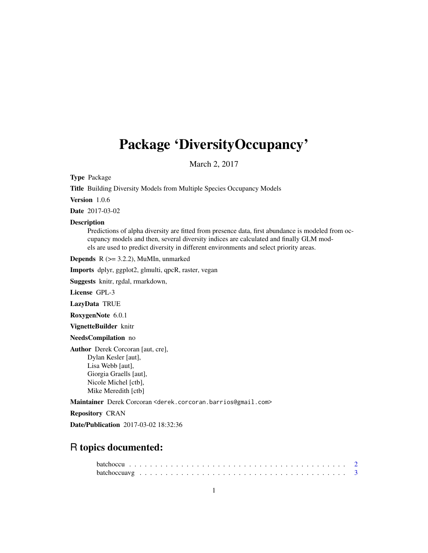# <span id="page-0-0"></span>Package 'DiversityOccupancy'

March 2, 2017

Type Package

Title Building Diversity Models from Multiple Species Occupancy Models

Version 1.0.6

Date 2017-03-02

# Description

Predictions of alpha diversity are fitted from presence data, first abundance is modeled from occupancy models and then, several diversity indices are calculated and finally GLM models are used to predict diversity in different environments and select priority areas.

**Depends**  $R$  ( $>= 3.2.2$ ), MuMIn, unmarked

Imports dplyr, ggplot2, glmulti, qpcR, raster, vegan

Suggests knitr, rgdal, rmarkdown,

License GPL-3

LazyData TRUE

RoxygenNote 6.0.1

VignetteBuilder knitr

NeedsCompilation no

Author Derek Corcoran [aut, cre], Dylan Kesler [aut], Lisa Webb [aut], Giorgia Graells [aut], Nicole Michel [ctb], Mike Meredith [ctb]

Maintainer Derek Corcoran <derek.corcoran.barrios@gmail.com>

Repository CRAN

Date/Publication 2017-03-02 18:32:36

# R topics documented: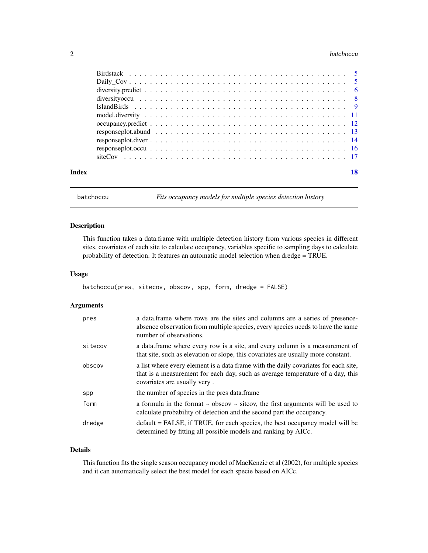#### <span id="page-1-0"></span>2 batchoccu and the state of the state of the state of the state of the state of the state of the state of the state of the state of the state of the state of the state of the state of the state of the state of the state o

|       | response plot. abund $\ldots \ldots \ldots \ldots \ldots \ldots \ldots \ldots \ldots \ldots \ldots \ldots \ldots$ |    |
|-------|-------------------------------------------------------------------------------------------------------------------|----|
|       | response plot. diver $\ldots \ldots \ldots \ldots \ldots \ldots \ldots \ldots \ldots \ldots \ldots \ldots \ldots$ |    |
|       |                                                                                                                   |    |
|       |                                                                                                                   |    |
| Index |                                                                                                                   | 18 |

<span id="page-1-1"></span>batchoccu *Fits occupancy models for multiple species detection history*

# Description

This function takes a data.frame with multiple detection history from various species in different sites, covariates of each site to calculate occupancy, variables specific to sampling days to calculate probability of detection. It features an automatic model selection when dredge = TRUE.

# Usage

```
batchoccu(pres, sitecov, obscov, spp, form, dredge = FALSE)
```
# Arguments

| pres    | a data frame where rows are the sites and columns are a series of presence-<br>absence observation from multiple species, every species needs to have the same<br>number of observations.             |
|---------|-------------------------------------------------------------------------------------------------------------------------------------------------------------------------------------------------------|
| sitecov | a data frame where every row is a site, and every column is a measurement of<br>that site, such as elevation or slope, this covariates are usually more constant.                                     |
| obscov  | a list where every element is a data frame with the daily covariates for each site,<br>that is a measurement for each day, such as average temperature of a day, this<br>covariates are usually very. |
| spp     | the number of species in the pres data.frame                                                                                                                                                          |
| form    | a formula in the format $\sim$ obscov $\sim$ sitcov, the first arguments will be used to<br>calculate probability of detection and the second part the occupancy.                                     |
| dredge  | default = FALSE, if TRUE, for each species, the best occupancy model will be<br>determined by fitting all possible models and ranking by AICc.                                                        |

# Details

This function fits the single season occupancy model of MacKenzie et al (2002), for multiple species and it can automatically select the best model for each specie based on AICc.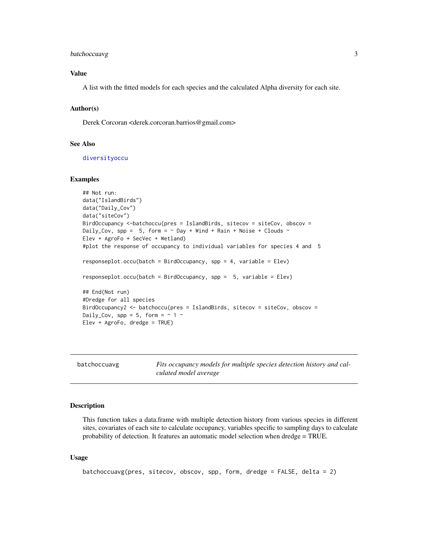# <span id="page-2-0"></span>batchoccuavg 3

# Value

A list with the fitted models for each species and the calculated Alpha diversity for each site.

#### Author(s)

Derek Corcoran <derek.corcoran.barrios@gmail.com>

#### See Also

[diversityoccu](#page-7-1)

#### Examples

```
## Not run:
data("IslandBirds")
data("Daily_Cov")
data("siteCov")
BirdOccupancy <-batchoccu(pres = IslandBirds, sitecov = siteCov, obscov =
Daily_Cov, spp = 5, form = \sim Day + Wind + Rain + Noise + Clouds \simElev + AgroFo + SecVec + Wetland)
#plot the response of occupancy to individual variables for species 4 and 5
responseplot.occu(batch = BirdOccupancy, spp = 4, variable = Elev)
responseplot.occu(batch = BirdOccupancy, spp = 5, variable = Elev)
## End(Not run)
#Dredge for all species
BirdOccupancy2 <- batchoccu(pres = IslandBirds, sitecov = siteCov, obscov =
Daily_Cov, spp = 5, form = \sim 1 \simElev + AgroFo, dredge = TRUE)
```

|  | batchoccuavg |  |
|--|--------------|--|
|--|--------------|--|

Fits occupancy models for multiple species detection history and cal*culated model average*

### Description

This function takes a data.frame with multiple detection history from various species in different sites, covariates of each site to calculate occupancy, variables specific to sampling days to calculate probability of detection. It features an automatic model selection when dredge = TRUE.

#### Usage

```
batchoccuavg(pres, sitecov, obscov, spp, form, dredge = FALSE, delta = 2)
```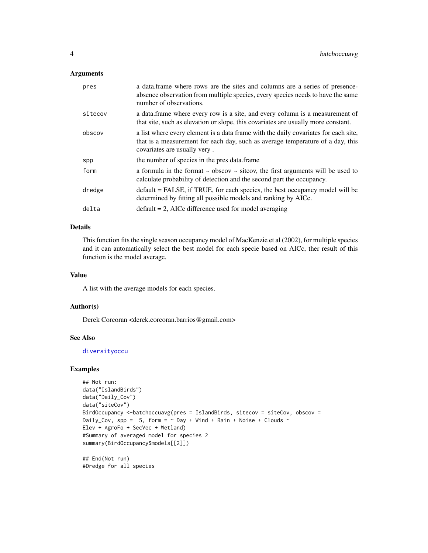#### <span id="page-3-0"></span>Arguments

| pres    | a data. frame where rows are the sites and columns are a series of presence-<br>absence observation from multiple species, every species needs to have the same<br>number of observations.            |
|---------|-------------------------------------------------------------------------------------------------------------------------------------------------------------------------------------------------------|
| sitecov | a data frame where every row is a site, and every column is a measurement of<br>that site, such as elevation or slope, this covariates are usually more constant.                                     |
| obscov  | a list where every element is a data frame with the daily covariates for each site,<br>that is a measurement for each day, such as average temperature of a day, this<br>covariates are usually very. |
| spp     | the number of species in the pres data.frame                                                                                                                                                          |
| form    | a formula in the format $\sim$ obscov $\sim$ sitcov, the first arguments will be used to<br>calculate probability of detection and the second part the occupancy.                                     |
| dredge  | default = FALSE, if TRUE, for each species, the best occupancy model will be<br>determined by fitting all possible models and ranking by AICc.                                                        |
| delta   | $default = 2$ , AICc difference used for model averaging                                                                                                                                              |

# Details

This function fits the single season occupancy model of MacKenzie et al (2002), for multiple species and it can automatically select the best model for each specie based on AICc, ther result of this function is the model average.

# Value

A list with the average models for each species.

# Author(s)

Derek Corcoran <derek.corcoran.barrios@gmail.com>

# See Also

[diversityoccu](#page-7-1)

# Examples

```
## Not run:
data("IslandBirds")
data("Daily_Cov")
data("siteCov")
BirdOccupancy <-batchoccuavg(pres = IslandBirds, sitecov = siteCov, obscov =
Daily_Cov, spp = 5, form = \sim Day + Wind + Rain + Noise + Clouds \simElev + AgroFo + SecVec + Wetland)
#Summary of averaged model for species 2
summary(BirdOccupancy$models[[2]])
```
## End(Not run) #Dredge for all species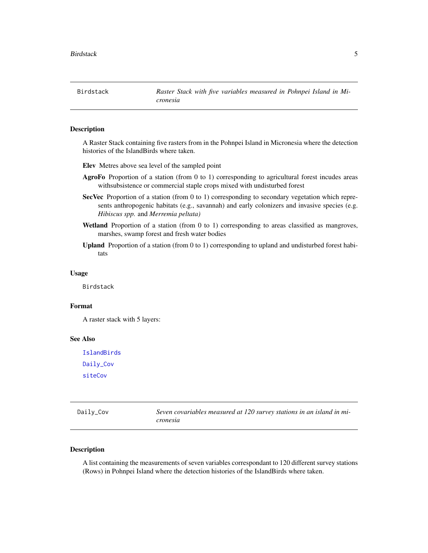<span id="page-4-0"></span>Birdstack *Raster Stack with five variables measured in Pohnpei Island in Micronesia*

#### Description

A Raster Stack containing five rasters from in the Pohnpei Island in Micronesia where the detection histories of the IslandBirds where taken.

- Elev Metres above sea level of the sampled point
- AgroFo Proportion of a station (from 0 to 1) corresponding to agricultural forest incudes areas withsubsistence or commercial staple crops mixed with undisturbed forest
- SecVec Proportion of a station (from 0 to 1) corresponding to secondary vegetation which represents anthropogenic habitats (e.g., savannah) and early colonizers and invasive species (e.g. *Hibiscus spp.* and *Merremia peltata)*
- Wetland Proportion of a station (from 0 to 1) corresponding to areas classified as mangroves, marshes, swamp forest and fresh water bodies
- Upland Proportion of a station (from 0 to 1) corresponding to upland and undisturbed forest habitats

#### Usage

Birdstack

#### Format

A raster stack with 5 layers:

#### See Also

[IslandBirds](#page-8-1) [Daily\\_Cov](#page-4-1) [siteCov](#page-16-1)

<span id="page-4-1"></span>

| Daily_Cov | Seven covariables measured at 120 survey stations in an island in mi- |
|-----------|-----------------------------------------------------------------------|
|           | cronesia                                                              |

#### Description

A list containing the measurements of seven variables correspondant to 120 different survey stations (Rows) in Pohnpei Island where the detection histories of the IslandBirds where taken.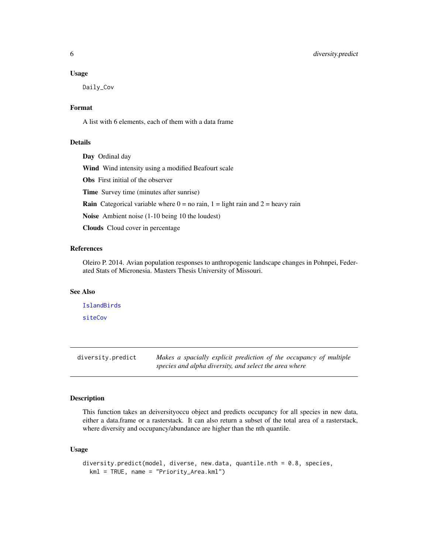#### <span id="page-5-0"></span>Usage

Daily\_Cov

# Format

A list with 6 elements, each of them with a data frame

# Details

Day Ordinal day

Wind Wind intensity using a modified Beafourt scale

Obs First initial of the observer

Time Survey time (minutes after sunrise)

**Rain** Categorical variable where  $0 =$  no rain,  $1 =$  light rain and  $2 =$  heavy rain

Noise Ambient noise (1-10 being 10 the loudest)

Clouds Cloud cover in percentage

# References

Oleiro P. 2014. Avian population responses to anthropogenic landscape changes in Pohnpei, Federated Stats of Micronesia. Masters Thesis University of Missouri.

# See Also

[IslandBirds](#page-8-1) [siteCov](#page-16-1)

diversity.predict *Makes a spacially explicit prediction of the occupancy of multiple species and alpha diversity, and select the area where*

#### Description

This function takes an deiversityoccu object and predicts occupancy for all species in new data, either a data.frame or a rasterstack. It can also return a subset of the total area of a rasterstack, where diversity and occupancy/abundance are higher than the nth quantile.

### Usage

```
diversity.predict(model, diverse, new.data, quantile.nth = 0.8, species,
 kml = TRUE, name = "Priority_Area.kml")
```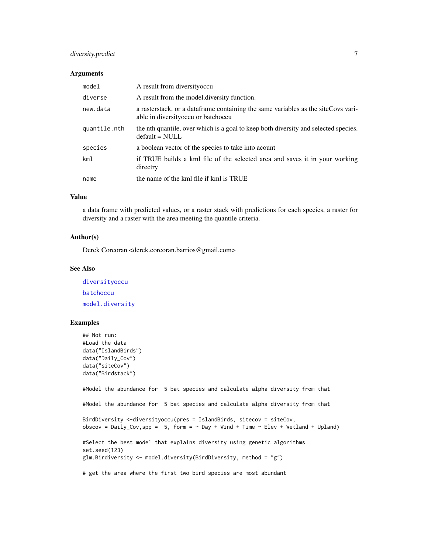# <span id="page-6-0"></span>diversity.predict 7

#### Arguments

| model        | A result from diversity occu                                                                                                 |
|--------------|------------------------------------------------------------------------------------------------------------------------------|
| diverse      | A result from the model diversity function.                                                                                  |
| new.data     | a raster stack, or a data frame containing the same variables as the site Covs vari-<br>able in diversity occu or batch occu |
| quantile.nth | the nth quantile, over which is a goal to keep both diversity and selected species.<br>$default = NULL$                      |
| species      | a boolean vector of the species to take into acount                                                                          |
| km1          | if TRUE builds a kml file of the selected area and saves it in your working<br>directry                                      |
| name         | the name of the kml file if kml is TRUE                                                                                      |

#### Value

a data frame with predicted values, or a raster stack with predictions for each species, a raster for diversity and a raster with the area meeting the quantile criteria.

#### Author(s)

Derek Corcoran <derek.corcoran.barrios@gmail.com>

# See Also

[diversityoccu](#page-7-1) [batchoccu](#page-1-1) [model.diversity](#page-10-1)

# Examples

```
## Not run:
#Load the data
data("IslandBirds")
data("Daily_Cov")
data("siteCov")
data("Birdstack")
#Model the abundance for 5 bat species and calculate alpha diversity from that
#Model the abundance for 5 bat species and calculate alpha diversity from that
BirdDiversity <-diversityoccu(pres = IslandBirds, sitecov = siteCov,
obscov = Daily_Cov,spp = 5, form = \sim Day + Wind + Time \sim Elev + Wetland + Upland)
#Select the best model that explains diversity using genetic algorithms
set.seed(123)
glm.Birdiversity <- model.diversity(BirdDiversity, method = "g")
# get the area where the first two bird species are most abundant
```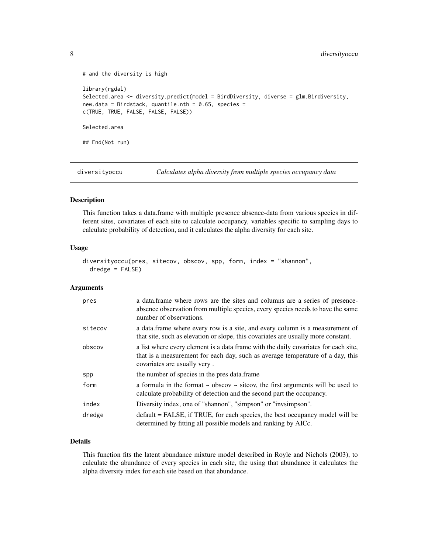```
# and the diversity is high
library(rgdal)
Selected.area <- diversity.predict(model = BirdDiversity, diverse = glm.Birdiversity,
new.data = Birdstack, quantile.nth = 0.65, species =
c(TRUE, TRUE, FALSE, FALSE, FALSE))
Selected.area
## End(Not run)
```
<span id="page-7-1"></span>diversityoccu *Calculates alpha diversity from multiple species occupancy data*

# Description

This function takes a data.frame with multiple presence absence-data from various species in different sites, covariates of each site to calculate occupancy, variables specific to sampling days to calculate probability of detection, and it calculates the alpha diversity for each site.

#### Usage

```
diversityoccu(pres, sitecov, obscov, spp, form, index = "shannon",
 dredge = FALSE)
```
# Arguments

| pres    | a data frame where rows are the sites and columns are a series of presence-<br>absence observation from multiple species, every species needs to have the same<br>number of observations.             |
|---------|-------------------------------------------------------------------------------------------------------------------------------------------------------------------------------------------------------|
| sitecov | a data frame where every row is a site, and every column is a measurement of<br>that site, such as elevation or slope, this covariates are usually more constant.                                     |
| obscov  | a list where every element is a data frame with the daily covariates for each site.<br>that is a measurement for each day, such as average temperature of a day, this<br>covariates are usually very. |
| spp     | the number of species in the pres data.frame                                                                                                                                                          |
| form    | a formula in the format $\sim$ obscov $\sim$ sitcov, the first arguments will be used to<br>calculate probability of detection and the second part the occupancy.                                     |
| index   | Diversity index, one of "shannon", "simpson" or "invsimpson".                                                                                                                                         |
| dredge  | $default = FALSE$ , if TRUE, for each species, the best occupancy model will be<br>determined by fitting all possible models and ranking by AICc.                                                     |

# Details

This function fits the latent abundance mixture model described in Royle and Nichols (2003), to calculate the abundance of every species in each site, the using that abundance it calculates the alpha diversity index for each site based on that abundance.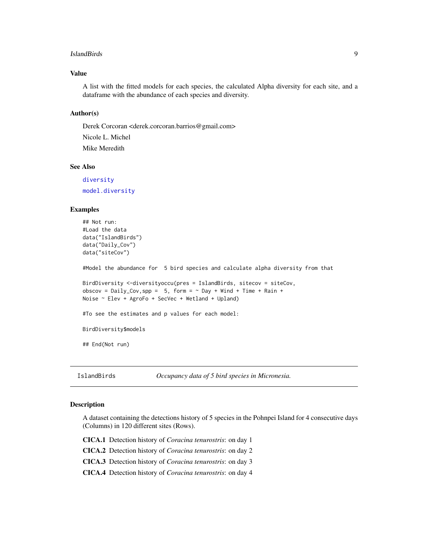#### <span id="page-8-0"></span>IslandBirds 9

# Value

A list with the fitted models for each species, the calculated Alpha diversity for each site, and a dataframe with the abundance of each species and diversity.

# Author(s)

Derek Corcoran <derek.corcoran.barrios@gmail.com>

Nicole L. Michel Mike Meredith

# See Also

[diversity](#page-0-0) [model.diversity](#page-10-1)

#### Examples

```
## Not run:
#Load the data
data("IslandBirds")
data("Daily_Cov")
data("siteCov")
#Model the abundance for 5 bird species and calculate alpha diversity from that
BirdDiversity <-diversityoccu(pres = IslandBirds, sitecov = siteCov,
obscov = Daily_Cov,spp = 5, form = \sim Day + Wind + Time + Rain +
Noise ~ Elev + AgroFo + SecVec + Wetland + Upland)
#To see the estimates and p values for each model:
BirdDiversity$models
## End(Not run)
```
<span id="page-8-1"></span>IslandBirds *Occupancy data of 5 bird species in Micronesia.*

#### Description

A dataset containing the detections history of 5 species in the Pohnpei Island for 4 consecutive days (Columns) in 120 different sites (Rows).

CICA.1 Detection history of *Coracina tenurostris*: on day 1

CICA.2 Detection history of *Coracina tenurostris*: on day 2

CICA.3 Detection history of *Coracina tenurostris*: on day 3

CICA.4 Detection history of *Coracina tenurostris*: on day 4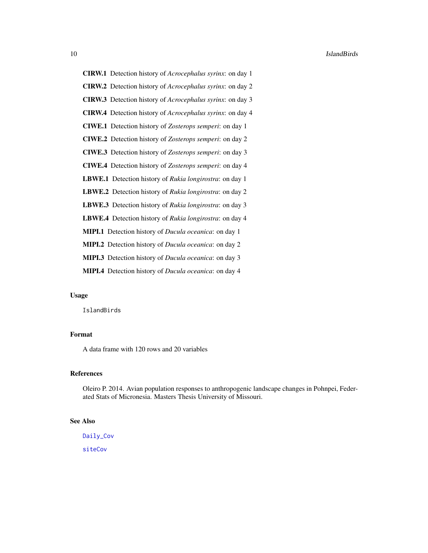<span id="page-9-0"></span>CIRW.1 Detection history of *Acrocephalus syrinx*: on day 1 CIRW.2 Detection history of *Acrocephalus syrinx*: on day 2 CIRW.3 Detection history of *Acrocephalus syrinx*: on day 3 CIRW.4 Detection history of *Acrocephalus syrinx*: on day 4 CIWE.1 Detection history of *Zosterops semperi*: on day 1 CIWE.2 Detection history of *Zosterops semperi*: on day 2 CIWE.3 Detection history of *Zosterops semperi*: on day 3 CIWE.4 Detection history of *Zosterops semperi*: on day 4 LBWE.1 Detection history of *Rukia longirostra*: on day 1 LBWE.2 Detection history of *Rukia longirostra*: on day 2 LBWE.3 Detection history of *Rukia longirostra*: on day 3 LBWE.4 Detection history of *Rukia longirostra*: on day 4 MIPI.1 Detection history of *Ducula oceanica*: on day 1 MIPI.2 Detection history of *Ducula oceanica*: on day 2 MIPI.3 Detection history of *Ducula oceanica*: on day 3 MIPI.4 Detection history of *Ducula oceanica*: on day 4

# Usage

**IslandBirds** 

# Format

A data frame with 120 rows and 20 variables

# References

Oleiro P. 2014. Avian population responses to anthropogenic landscape changes in Pohnpei, Federated Stats of Micronesia. Masters Thesis University of Missouri.

#### See Also

[Daily\\_Cov](#page-4-1)

[siteCov](#page-16-1)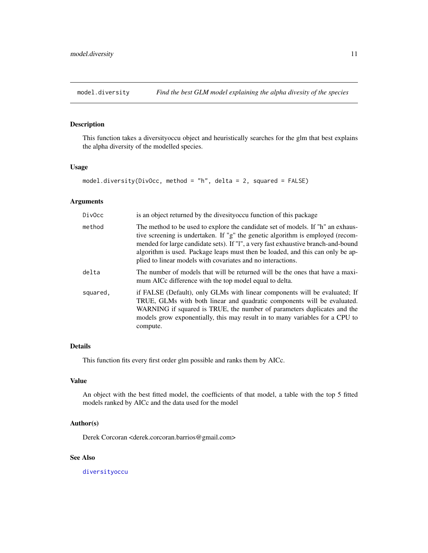<span id="page-10-1"></span><span id="page-10-0"></span>

# Description

This function takes a diversityoccu object and heuristically searches for the glm that best explains the alpha diversity of the modelled species.

#### Usage

```
model.diversity(DivOcc, method = "h", delta = 2, squared = FALSE)
```
# Arguments

| DivOcc   | is an object returned by the divesity occur function of this package                                                                                                                                                                                                                                                                                                                                    |
|----------|---------------------------------------------------------------------------------------------------------------------------------------------------------------------------------------------------------------------------------------------------------------------------------------------------------------------------------------------------------------------------------------------------------|
| method   | The method to be used to explore the candidate set of models. If "h" an exhaus-<br>tive screening is undertaken. If "g" the genetic algorithm is employed (recom-<br>mended for large candidate sets). If "1", a very fast exhaustive branch-and-bound<br>algorithm is used. Package leaps must then be loaded, and this can only be ap-<br>plied to linear models with covariates and no interactions. |
| delta    | The number of models that will be returned will be the ones that have a maxi-<br>mum AICc difference with the top model equal to delta.                                                                                                                                                                                                                                                                 |
| squared. | if FALSE (Default), only GLMs with linear components will be evaluated; If<br>TRUE, GLMs with both linear and quadratic components will be evaluated.<br>WARNING if squared is TRUE, the number of parameters duplicates and the<br>models grow exponentially, this may result in to many variables for a CPU to<br>compute.                                                                            |

# Details

This function fits every first order glm possible and ranks them by AICc.

# Value

An object with the best fitted model, the coefficients of that model, a table with the top 5 fitted models ranked by AICc and the data used for the model

## Author(s)

Derek Corcoran <derek.corcoran.barrios@gmail.com>

# See Also

[diversityoccu](#page-7-1)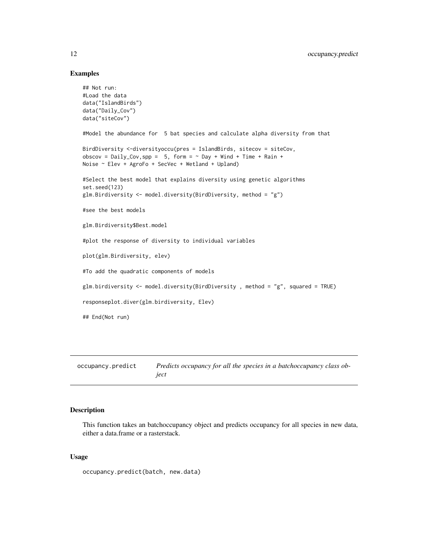#### Examples

```
## Not run:
#Load the data
data("IslandBirds")
data("Daily_Cov")
data("siteCov")
#Model the abundance for 5 bat species and calculate alpha diversity from that
BirdDiversity <-diversityoccu(pres = IslandBirds, sitecov = siteCov,
obscov = Daily_Cov, spp = 5, form = \sim Day + Wind + Time + Rain +
Noise ~ Elev + AgroFo + SecVec + Wetland + Upland)
#Select the best model that explains diversity using genetic algorithms
set.seed(123)
glm.Birdiversity <- model.diversity(BirdDiversity, method = "g")
#see the best models
glm.Birdiversity$Best.model
#plot the response of diversity to individual variables
plot(glm.Birdiversity, elev)
#To add the quadratic components of models
glm.birdiversity <- model.diversity(BirdDiversity , method = "g", squared = TRUE)
responseplot.diver(glm.birdiversity, Elev)
## End(Not run)
```
occupancy.predict *Predicts occupancy for all the species in a batchoccupancy class object*

# Description

This function takes an batchoccupancy object and predicts occupancy for all species in new data, either a data.frame or a rasterstack.

#### Usage

occupancy.predict(batch, new.data)

<span id="page-11-0"></span>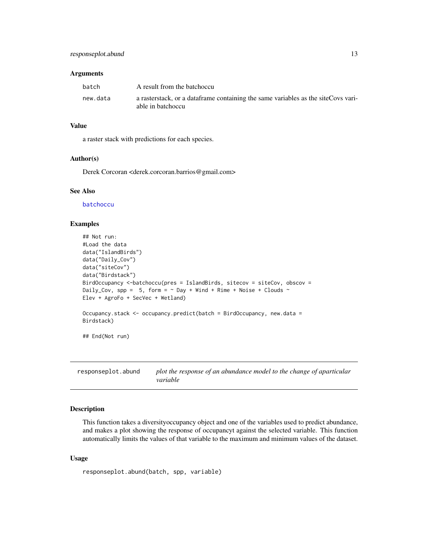#### <span id="page-12-0"></span>**Arguments**

| batch    | A result from the batchoccu                                                                              |
|----------|----------------------------------------------------------------------------------------------------------|
| new.data | a rasterstack, or a data frame containing the same variables as the site Covs vari-<br>able in batchoccu |

# Value

a raster stack with predictions for each species.

#### Author(s)

Derek Corcoran <derek.corcoran.barrios@gmail.com>

#### See Also

[batchoccu](#page-1-1)

#### Examples

```
## Not run:
#Load the data
data("IslandBirds")
data("Daily_Cov")
data("siteCov")
data("Birdstack")
BirdOccupancy <-batchoccu(pres = IslandBirds, sitecov = siteCov, obscov =
Daily_Cov, spp = 5, form = \sim Day + Wind + Rime + Noise + Clouds \simElev + AgroFo + SecVec + Wetland)
Occupancy.stack <- occupancy.predict(batch = BirdOccupancy, new.data =
Birdstack)
## End(Not run)
```
responseplot.abund *plot the response of an abundance model to the change of aparticular variable*

# Description

This function takes a diversityoccupancy object and one of the variables used to predict abundance, and makes a plot showing the response of occupancyt against the selected variable. This function automatically limits the values of that variable to the maximum and minimum values of the dataset.

#### Usage

```
responseplot.abund(batch, spp, variable)
```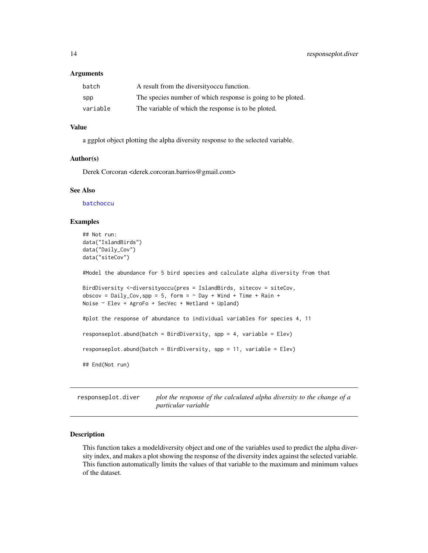#### <span id="page-13-0"></span>**Arguments**

| batch    | A result from the diversity occu function.                  |
|----------|-------------------------------------------------------------|
| spp      | The species number of which response is going to be ploted. |
| variable | The variable of which the response is to be ploted.         |

#### Value

a ggplot object plotting the alpha diversity response to the selected variable.

#### Author(s)

Derek Corcoran <derek.corcoran.barrios@gmail.com>

#### See Also

[batchoccu](#page-1-1)

#### Examples

```
## Not run:
data("IslandBirds")
data("Daily_Cov")
data("siteCov")
```
#Model the abundance for 5 bird species and calculate alpha diversity from that

```
BirdDiversity <-diversityoccu(pres = IslandBirds, sitecov = siteCov,
obscov = Daily_Cov, spp = 5, form = \sim Day + Wind + Time + Rain +
Noise ~ Elev + AgroFo + SecVec + Wetland + Upland)
```

```
#plot the response of abundance to individual variables for species 4, 11
responseplot.abund(batch = BirdDiversity, spp = 4, variable = Elev)
responseplot.abund(batch = BirdDiversity, spp = 11, variable = Elev)
```

```
## End(Not run)
```
responseplot.diver *plot the response of the calculated alpha diversity to the change of a particular variable*

#### Description

This function takes a modeldiversity object and one of the variables used to predict the alpha diversity index, and makes a plot showing the response of the diversity index against the selected variable. This function automatically limits the values of that variable to the maximum and minimum values of the dataset.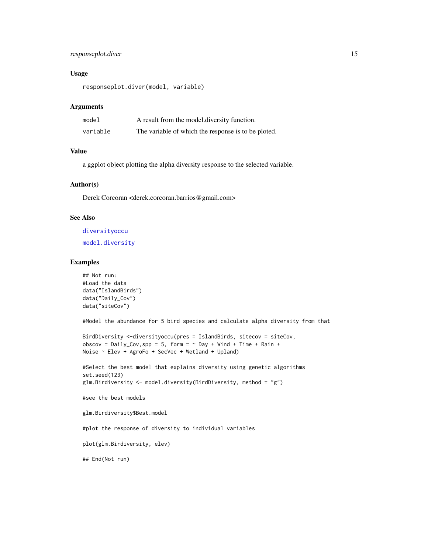# <span id="page-14-0"></span>responseplot.diver 15

# Usage

responseplot.diver(model, variable)

#### Arguments

| model    | A result from the model diversity function.         |
|----------|-----------------------------------------------------|
| variable | The variable of which the response is to be ploted. |

#### Value

a ggplot object plotting the alpha diversity response to the selected variable.

# Author(s)

Derek Corcoran <derek.corcoran.barrios@gmail.com>

# See Also

[diversityoccu](#page-7-1) [model.diversity](#page-10-1)

#### Examples

```
## Not run:
#Load the data
data("IslandBirds")
data("Daily_Cov")
data("siteCov")
```
#Model the abundance for 5 bird species and calculate alpha diversity from that

```
BirdDiversity <-diversityoccu(pres = IslandBirds, sitecov = siteCov,
obscov = Daily_Cov, spp = 5, form = \sim Day + Wind + Time + Rain +
Noise ~ Elev + AgroFo + SecVec + Wetland + Upland)
```

```
#Select the best model that explains diversity using genetic algorithms
set.seed(123)
glm.Birdiversity <- model.diversity(BirdDiversity, method = "g")
```

```
#see the best models
```
glm.Birdiversity\$Best.model

#plot the response of diversity to individual variables

plot(glm.Birdiversity, elev)

## End(Not run)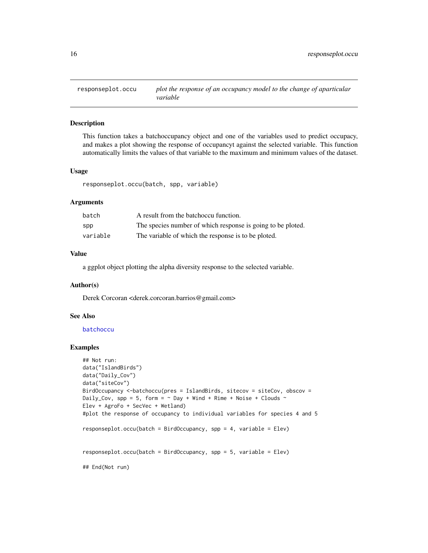<span id="page-15-0"></span>

# Description

This function takes a batchoccupancy object and one of the variables used to predict occupacy, and makes a plot showing the response of occupancyt against the selected variable. This function automatically limits the values of that variable to the maximum and minimum values of the dataset.

#### Usage

responseplot.occu(batch, spp, variable)

### Arguments

| batch    | A result from the batchoccu function.                       |
|----------|-------------------------------------------------------------|
| spp      | The species number of which response is going to be ploted. |
| variable | The variable of which the response is to be ploted.         |

# Value

a ggplot object plotting the alpha diversity response to the selected variable.

#### Author(s)

Derek Corcoran <derek.corcoran.barrios@gmail.com>

# See Also

[batchoccu](#page-1-1)

#### Examples

```
## Not run:
data("IslandBirds")
data("Daily_Cov")
data("siteCov")
BirdOccupancy <-batchoccu(pres = IslandBirds, sitecov = siteCov, obscov =
Daily_Cov, spp = 5, form = \sim Day + Wind + Rime + Noise + Clouds \simElev + AgroFo + SecVec + Wetland)
#plot the response of occupancy to individual variables for species 4 and 5
responseplot.occu(batch = BirdOccupancy, spp = 4, variable = Elev)
responseplot.occu(batch = BirdOccupancy, spp = 5, variable = Elev)
## End(Not run)
```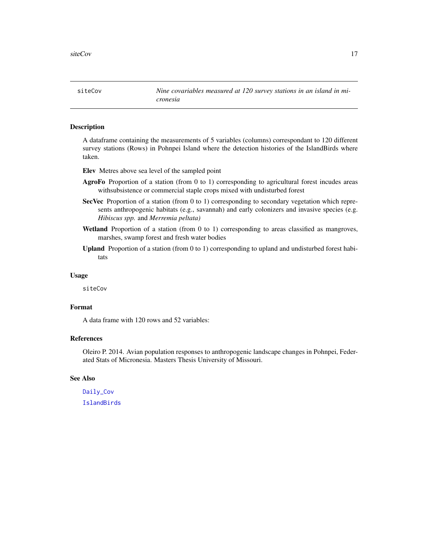<span id="page-16-1"></span><span id="page-16-0"></span>siteCov *Nine covariables measured at 120 survey stations in an island in micronesia*

#### Description

A dataframe containing the measurements of 5 variables (columns) correspondant to 120 different survey stations (Rows) in Pohnpei Island where the detection histories of the IslandBirds where taken.

Elev Metres above sea level of the sampled point

- AgroFo Proportion of a station (from 0 to 1) corresponding to agricultural forest incudes areas withsubsistence or commercial staple crops mixed with undisturbed forest
- SecVec Proportion of a station (from 0 to 1) corresponding to secondary vegetation which represents anthropogenic habitats (e.g., savannah) and early colonizers and invasive species (e.g. *Hibiscus spp.* and *Merremia peltata)*
- Wetland Proportion of a station (from 0 to 1) corresponding to areas classified as mangroves, marshes, swamp forest and fresh water bodies
- **Upland** Proportion of a station (from  $0$  to  $1$ ) corresponding to upland and undisturbed forest habitats

#### Usage

siteCov

# Format

A data frame with 120 rows and 52 variables:

# References

Oleiro P. 2014. Avian population responses to anthropogenic landscape changes in Pohnpei, Federated Stats of Micronesia. Masters Thesis University of Missouri.

#### See Also

[Daily\\_Cov](#page-4-1) [IslandBirds](#page-8-1)